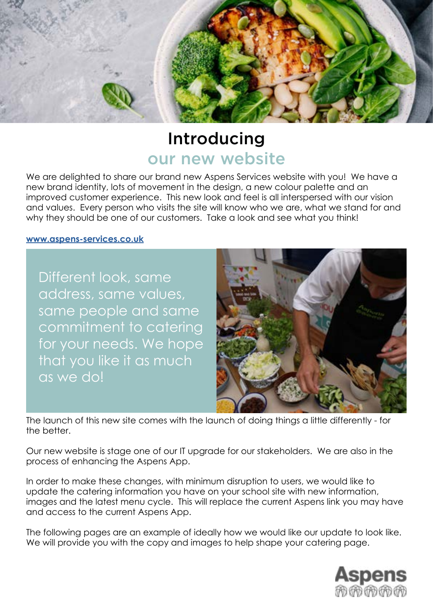

# Introducing our new website

We are delighted to share our brand new Aspens Services website with you! We have a new brand identity, lots of movement in the design, a new colour palette and an improved customer experience. This new look and feel is all interspersed with our vision and values. Every person who visits the site will know who we are, what we stand for and why they should be one of our customers. Take a look and see what you think!

#### **[www.aspens-services.co.uk](http://www.aspens-services.com )**

Different look, same address, same values, same people and same commitment to catering for your needs. We hope that you like it as much as we do!



The launch of this new site comes with the launch of doing things a little differently - for the better.

Our new website is stage one of our IT upgrade for our stakeholders. We are also in the process of enhancing the Aspens App.

In order to make these changes, with minimum disruption to users, we would like to update the catering information you have on your school site with new information, images and the latest menu cycle. This will replace the current Aspens link you may have and access to the current Aspens App.

The following pages are an example of ideally how we would like our update to look like. We will provide you with the copy and images to help shape your catering page.